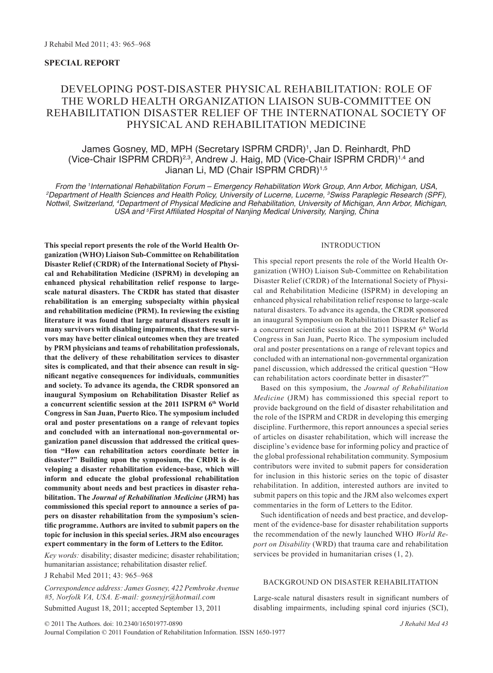## **Special Report**

# DEVELOPING POST-DISASTER PHYSICAL REHABILITATION: ROLE of the WORLD HEALTH ORGANIZATION LIAISON SUB-COMMITTEE on REHABILITATION DISASTER RELIEF of the INTERNATIONAL SOCIETY OF PHYSICAL AND REHABILITATION MEDICINE

# James Gosney, MD, MPH (Secretary ISPRM CRDR)<sup>1</sup>, Jan D. Reinhardt, PhD (Vice-Chair ISPRM CRDR)2,3, Andrew J. Haig, MD (Vice-Chair ISPRM CRDR)1,4 and Jianan Li, MD (Chair ISPRM CRDR)<sup>1,5</sup>

From the <sup>1</sup>International Rehabilitation Forum – Emergency Rehabilitation Work Group, Ann Arbor, Michigan, USA. From the 1International Rehabilitation Forum – Emergency Rehabilitation Work Group, Ann Arbor, Michigan, USA,<br>Department of Health Sciences and Health Policy, University of Lucerne, Lucerne, <sup>3</sup>Swiss Paraplegic Research (S *Nottwil, Switzerland, 4 Department of Physical Medicine and Rehabilitation, University of Michigan, Ann Arbor, Michigan, USA and 5* First Affiliated Hospital of Nanjing Medical University, Nanjing, China

**This special report presents the role of the World Health Organization (WHO) Liaison Sub-Committee on Rehabilitation Disaster Relief (CRDR) of the International Society of Physical and Rehabilitation Medicine (ISPRM) in developing an enhanced physical rehabilitation relief response to largescale natural disasters. The CRDR has stated that disaster rehabilitation is an emerging subspecialty within physical and rehabilitation medicine (PRM). In reviewing the existing literature it was found that large natural disasters result in many survivors with disabling impairments, that these survivors may have better clinical outcomes when they are treated by PRM physicians and teams of rehabilitation professionals, that the delivery of these rehabilitation services to disaster sites is complicated, and that their absence can result in significant negative consequences for individuals, communities and society. To advance its agenda, the CRDR sponsored an inaugural Symposium on Rehabilitation Disaster Relief as a concurrent scientific session at the 2011 ISPRM 6th World Congress in San Juan, Puerto Rico. The symposium included oral and poster presentations on a range of relevant topics and concluded with an international non-governmental organization panel discussion that addressed the critical question "How can rehabilitation actors coordinate better in disaster?" Building upon the symposium, the CRDR is developing a disaster rehabilitation evidence-base, which will inform and educate the global professional rehabilitation community about needs and best practices in disaster rehabilitation. The** *Journal of Rehabilitation Medicine* **(JRM) has commissioned this special report to announce a series of papers on disaster rehabilitation from the symposium's scientific programme. Authors are invited to submit papers on the topic for inclusion in this special series. JRM also encourages expert commentary in the form of Letters to the Editor.** 

*Key words:* disability; disaster medicine; disaster rehabilitation; humanitarian assistance; rehabilitation disaster relief.

J Rehabil Med 2011; 43: 965–968

*Correspondence address: James Gosney, 422 Pembroke Avenue #5, Norfolk VA, USA. E-mail: gosneyjr@hotmail.com* Submitted August 18, 2011; accepted September 13, 2011

### INTRODUCTION

This special report presents the role of the World Health Organization (WHO) Liaison Sub-Committee on Rehabilitation Disaster Relief (CRDR) of the International Society of Physical and Rehabilitation Medicine (ISPRM) in developing an enhanced physical rehabilitation relief response to large-scale natural disasters. To advance its agenda, the CRDR sponsored an inaugural Symposium on Rehabilitation Disaster Relief as a concurrent scientific session at the 2011 ISPRM 6<sup>th</sup> World Congress in San Juan, Puerto Rico. The symposium included oral and poster presentations on a range of relevant topics and concluded with an international non-governmental organization panel discussion, which addressed the critical question "How can rehabilitation actors coordinate better in disaster?"

Based on this symposium, the *Journal of Rehabilitation Medicine* (JRM) has commissioned this special report to provide background on the field of disaster rehabilitation and the role of the ISPRM and CRDR in developing this emerging discipline. Furthermore, this report announces a special series of articles on disaster rehabilitation, which will increase the discipline's evidence base for informing policy and practice of the global professional rehabilitation community. Symposium contributors were invited to submit papers for consideration for inclusion in this historic series on the topic of disaster rehabilitation. In addition, interested authors are invited to submit papers on this topic and the JRM also welcomes expert commentaries in the form of Letters to the Editor.

Such identification of needs and best practice, and development of the evidence-base for disaster rehabilitation supports the recommendation of the newly launched WHO *World Report on Disability* (WRD) that trauma care and rehabilitation services be provided in humanitarian crises (1, 2).

# BACKGROUND ON DISASTER REHABILITATION

Large-scale natural disasters result in significant numbers of disabling impairments, including spinal cord injuries (SCI),

© 2011 The Authors. doi: 10.2340/16501977-0890 *J Rehabil Med 43*

Journal Compilation © 2011 Foundation of Rehabilitation Information. ISSN 1650-1977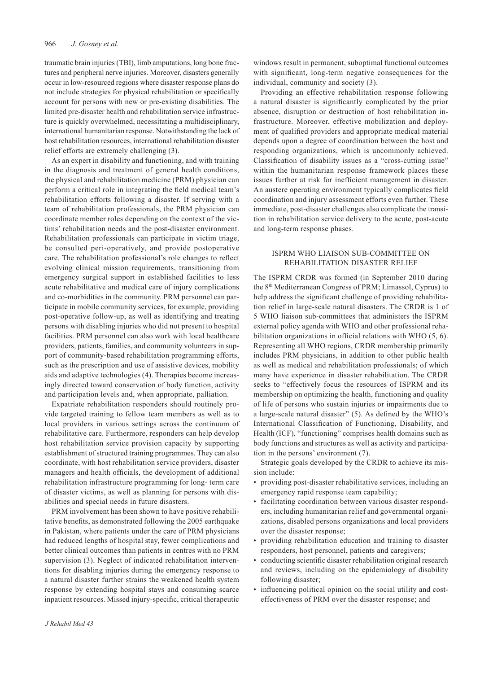traumatic brain injuries (TBI), limb amputations, long bone fractures and peripheral nerve injuries. Moreover, disasters generally occur in low-resourced regions where disaster response plans do not include strategies for physical rehabilitation or specifically account for persons with new or pre-existing disabilities. The limited pre-disaster health and rehabilitation service infrastructure is quickly overwhelmed, necessitating a multidisciplinary, international humanitarian response. Notwithstanding the lack of host rehabilitation resources, international rehabilitation disaster relief efforts are extremely challenging (3).

As an expert in disability and functioning, and with training in the diagnosis and treatment of general health conditions, the physical and rehabilitation medicine (PRM) physician can perform a critical role in integrating the field medical team's rehabilitation efforts following a disaster. If serving with a team of rehabilitation professionals, the PRM physician can coordinate member roles depending on the context of the victims' rehabilitation needs and the post-disaster environment. Rehabilitation professionals can participate in victim triage, be consulted peri-operatively, and provide postoperative care. The rehabilitation professional's role changes to reflect evolving clinical mission requirements, transitioning from emergency surgical support in established facilities to less acute rehabilitative and medical care of injury complications and co-morbidities in the community. PRM personnel can participate in mobile community services, for example, providing post-operative follow-up, as well as identifying and treating persons with disabling injuries who did not present to hospital facilities. PRM personnel can also work with local healthcare providers, patients, families, and community volunteers in support of community-based rehabilitation programming efforts, such as the prescription and use of assistive devices, mobility aids and adaptive technologies (4). Therapies become increasingly directed toward conservation of body function, activity and participation levels and, when appropriate, palliation.

Expatriate rehabilitation responders should routinely provide targeted training to fellow team members as well as to local providers in various settings across the continuum of rehabilitative care. Furthermore, responders can help develop host rehabilitation service provision capacity by supporting establishment of structured training programmes. They can also coordinate, with host rehabilitation service providers, disaster managers and health officials, the development of additional rehabilitation infrastructure programming for long- term care of disaster victims, as well as planning for persons with disabilities and special needs in future disasters.

PRM involvement has been shown to have positive rehabilitative benefits, as demonstrated following the 2005 earthquake in Pakistan, where patients under the care of PRM physicians had reduced lengths of hospital stay, fewer complications and better clinical outcomes than patients in centres with no PRM supervision (3). Neglect of indicated rehabilitation interventions for disabling injuries during the emergency response to a natural disaster further strains the weakened health system response by extending hospital stays and consuming scarce inpatient resources. Missed injury-specific, critical therapeutic windows result in permanent, suboptimal functional outcomes with significant, long-term negative consequences for the individual, community and society (3).

Providing an effective rehabilitation response following a natural disaster is significantly complicated by the prior absence, disruption or destruction of host rehabilitation infrastructure. Moreover, effective mobilization and deployment of qualified providers and appropriate medical material depends upon a degree of coordination between the host and responding organizations, which is uncommonly achieved. Classification of disability issues as a "cross-cutting issue" within the humanitarian response framework places these issues further at risk for inefficient management in disaster. An austere operating environment typically complicates field coordination and injury assessment efforts even further. These immediate, post-disaster challenges also complicate the transition in rehabilitation service delivery to the acute, post-acute and long-term response phases.

### ISPRM WHO LIAISON SUB-COMMITTEE ON REHABILITATION DISASTER RELIEF

The ISPRM CRDR was formed (in September 2010 during the 8th Mediterranean Congress of PRM; Limassol, Cyprus) to help address the significant challenge of providing rehabilitation relief in large-scale natural disasters. The CRDR is 1 of 5 WHO liaison sub-committees that administers the ISPRM external policy agenda with WHO and other professional rehabilitation organizations in official relations with WHO (5, 6). Representing all WHO regions, CRDR membership primarily includes PRM physicians, in addition to other public health as well as medical and rehabilitation professionals; of which many have experience in disaster rehabilitation. The CRDR seeks to "effectively focus the resources of ISPRM and its membership on optimizing the health, functioning and quality of life of persons who sustain injuries or impairments due to a large-scale natural disaster" (5). As defined by the WHO's International Classification of Functioning, Disability, and Health (ICF), "functioning" comprises health domains such as body functions and structures as well as activity and participation in the persons' environment (7).

Strategic goals developed by the CRDR to achieve its mission include:

- providing post-disaster rehabilitative services, including an emergency rapid response team capability;
- facilitating coordination between various disaster responders, including humanitarian relief and governmental organizations, disabled persons organizations and local providers over the disaster response;
- providing rehabilitation education and training to disaster responders, host personnel, patients and caregivers;
- conducting scientific disaster rehabilitation original research and reviews, including on the epidemiology of disability following disaster;
- influencing political opinion on the social utility and costeffectiveness of PRM over the disaster response; and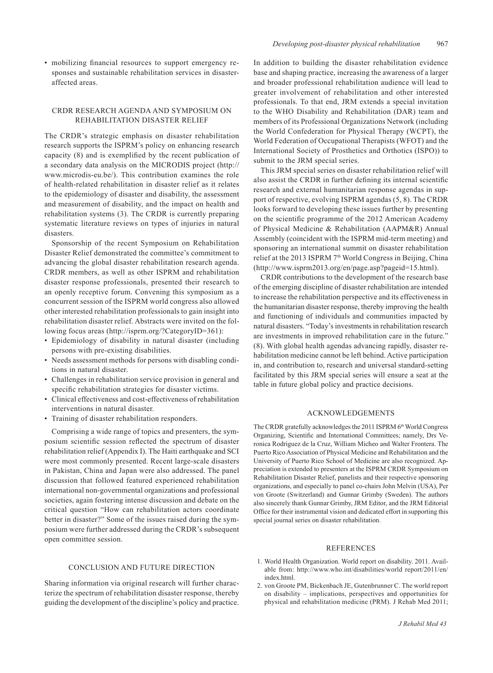• mobilizing financial resources to support emergency responses and sustainable rehabilitation services in disasteraffected areas.

#### CRDR RESEARCH AGENDA AND SYMPOSIUM ON REHABILITATION DISASTER RELIEF

The CRDR's strategic emphasis on disaster rehabilitation research supports the ISPRM's policy on enhancing research capacity (8) and is exemplified by the recent publication of a secondary data analysis on the MICRODIS project (http:// www.microdis-eu.be/). This contribution examines the role of health-related rehabilitation in disaster relief as it relates to the epidemiology of disaster and disability, the assessment and measurement of disability, and the impact on health and rehabilitation systems (3). The CRDR is currently preparing systematic literature reviews on types of injuries in natural disasters.

Sponsorship of the recent Symposium on Rehabilitation Disaster Relief demonstrated the committee's commitment to advancing the global disaster rehabilitation research agenda. CRDR members, as well as other ISPRM and rehabilitation disaster response professionals, presented their research to an openly receptive forum. Convening this symposium as a concurrent session of the ISPRM world congress also allowed other interested rehabilitation professionals to gain insight into rehabilitation disaster relief. Abstracts were invited on the following focus areas (http://isprm.org/?CategoryID=361):

- Epidemiology of disability in natural disaster (including persons with pre-existing disabilities.
- Needs assessment methods for persons with disabling conditions in natural disaster.
- Challenges in rehabilitation service provision in general and specific rehabilitation strategies for disaster victims.
- Clinical effectiveness and cost-effectiveness of rehabilitation interventions in natural disaster.
- Training of disaster rehabilitation responders.

Comprising a wide range of topics and presenters, the symposium scientific session reflected the spectrum of disaster rehabilitation relief (Appendix I). The Haiti earthquake and SCI were most commonly presented. Recent large-scale disasters in Pakistan, China and Japan were also addressed. The panel discussion that followed featured experienced rehabilitation international non-governmental organizations and professional societies, again fostering intense discussion and debate on the critical question "How can rehabilitation actors coordinate better in disaster?" Some of the issues raised during the symposium were further addressed during the CRDR's subsequent open committee session.

In addition to building the disaster rehabilitation evidence base and shaping practice, increasing the awareness of a larger and broader professional rehabilitation audience will lead to greater involvement of rehabilitation and other interested professionals. To that end, JRM extends a special invitation to the WHO Disability and Rehabilitation (DAR) team and members of its Professional Organizations Network (including the World Confederation for Physical Therapy (WCPT), the World Federation of Occupational Therapists (WFOT) and the International Society of Prosthetics and Orthotics (ISPO)) to submit to the JRM special series.

This JRM special series on disaster rehabilitation relief will also assist the CRDR in further defining its internal scientific research and external humanitarian response agendas in support of respective, evolving ISPRM agendas (5, 8). The CRDR looks forward to developing these issues further by presenting on the scientific programme of the 2012 American Academy of Physical Medicine & Rehabilitation (AAPM&R) Annual Assembly (coincident with the ISPRM mid-term meeting) and sponsoring an international summit on disaster rehabilitation relief at the 2013 ISPRM 7<sup>th</sup> World Congress in Beijing, China (http://www.isprm2013.org/en/page.asp?pageid=15.html).

CRDR contributions to the development of the research base of the emerging discipline of disaster rehabilitation are intended to increase the rehabilitation perspective and its effectiveness in the humanitarian disaster response, thereby improving the health and functioning of individuals and communities impacted by natural disasters. "Today's investments in rehabilitation research are investments in improved rehabilitation care in the future." (8). With global health agendas advancing rapidly, disaster rehabilitation medicine cannot be left behind. Active participation in, and contribution to, research and universal standard-setting facilitated by this JRM special series will ensure a seat at the table in future global policy and practice decisions.

### ACKNOWLEDGEMENTS

The CRDR gratefully acknowledges the 2011 ISPRM 6<sup>th</sup> World Congress Organizing, Scientific and International Committees; namely, Drs Veronica Rodriguez de la Cruz, William Micheo and Walter Frontera. The Puerto Rico Association of Physical Medicine and Rehabilitation and the University of Puerto Rico School of Medicine are also recognized. Appreciation is extended to presenters at the ISPRM CRDR Symposium on Rehabilitation Disaster Relief, panelists and their respective sponsoring organizations, and especially to panel co-chairs John Melvin (USA), Per von Groote (Switzerland) and Gunnar Grimby (Sweden). The authors also sincerely thank Gunnar Grimby, JRM Editor, and the JRM Editorial Office for their instrumental vision and dedicated effort in supporting this special journal series on disaster rehabilitation.

### REFERENCES

CONCLUSION AND FUTURE DIRECTION

Sharing information via original research will further characterize the spectrum of rehabilitation disaster response, thereby guiding the development of the discipline's policy and practice.

- 1. World Health Organization. World report on disability. 2011. Available from: http://www.who.int/disabilities/world report/2011/en/ index.html.
- 2. von Groote PM, Bickenbach JE, Gutenbrunner C. The world report on disability – implications, perspectives and opportunities for physical and rehabilitation medicine (PRM). J Rehab Med 2011;